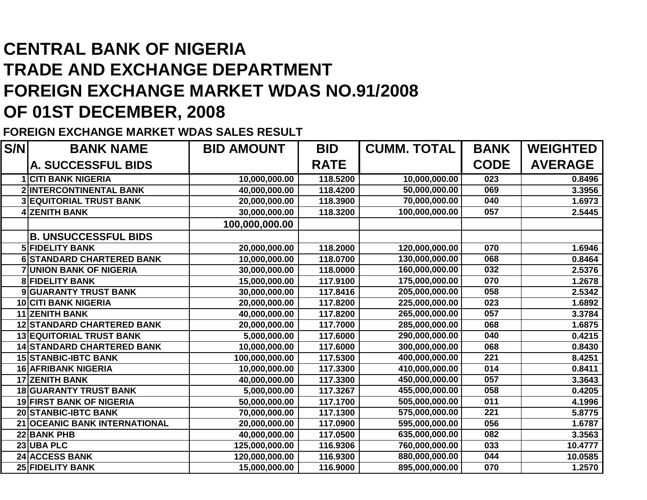## **CENTRAL BANK OF NIGERIA TRADE AND EXCHANGE DEPARTMENT FOREIGN EXCHANGE MARKET WDAS NO.91/2008OF 01ST DECEMBER, 2008**

**FOREIGN EXCHANGE MARKET WDAS SALES RESULT**

| S/N | <b>BANK NAME</b>                     | <b>BID AMOUNT</b> | <b>BID</b>  | <b>CUMM. TOTAL</b> | <b>BANK</b> | <b>WEIGHTED</b> |
|-----|--------------------------------------|-------------------|-------------|--------------------|-------------|-----------------|
|     | <b>A. SUCCESSFUL BIDS</b>            |                   | <b>RATE</b> |                    | <b>CODE</b> | <b>AVERAGE</b>  |
|     | <b>1 CITI BANK NIGERIA</b>           | 10,000,000.00     | 118.5200    | 10,000,000.00      | 023         | 0.8496          |
|     | 2 INTERCONTINENTAL BANK              | 40,000,000.00     | 118.4200    | 50,000,000.00      | 069         | 3.3956          |
|     | <b>3 EQUITORIAL TRUST BANK</b>       | 20,000,000.00     | 118.3900    | 70,000,000.00      | 040         | 1.6973          |
|     | 4 ZENITH BANK                        | 30,000,000.00     | 118.3200    | 100,000,000.00     | 057         | 2.5445          |
|     |                                      | 100,000,000.00    |             |                    |             |                 |
|     | <b>B. UNSUCCESSFUL BIDS</b>          |                   |             |                    |             |                 |
|     | <b>5 FIDELITY BANK</b>               | 20,000,000.00     | 118.2000    | 120,000,000.00     | 070         | 1.6946          |
|     | 6 STANDARD CHARTERED BANK            | 10,000,000.00     | 118.0700    | 130,000,000.00     | 068         | 0.8464          |
|     | <b>7 UNION BANK OF NIGERIA</b>       | 30,000,000.00     | 118.0000    | 160,000,000.00     | 032         | 2.5376          |
|     | <b>8 FIDELITY BANK</b>               | 15,000,000.00     | 117.9100    | 175,000,000.00     | 070         | 1.2678          |
|     | <b>9 GUARANTY TRUST BANK</b>         | 30,000,000.00     | 117.8416    | 205,000,000.00     | 058         | 2.5342          |
|     | 10 CITI BANK NIGERIA                 | 20,000,000.00     | 117.8200    | 225,000,000.00     | 023         | 1.6892          |
|     | <b>11 ZENITH BANK</b>                | 40,000,000.00     | 117.8200    | 265,000,000.00     | 057         | 3.3784          |
|     | <b>12 STANDARD CHARTERED BANK</b>    | 20,000,000.00     | 117.7000    | 285,000,000.00     | 068         | 1.6875          |
|     | <b>13 EQUITORIAL TRUST BANK</b>      | 5,000,000.00      | 117.6000    | 290,000,000.00     | 040         | 0.4215          |
|     | <b>14 STANDARD CHARTERED BANK</b>    | 10,000,000.00     | 117.6000    | 300,000,000.00     | 068         | 0.8430          |
|     | <b>15 STANBIC-IBTC BANK</b>          | 100,000,000.00    | 117.5300    | 400,000,000.00     | 221         | 8.4251          |
|     | 16 AFRIBANK NIGERIA                  | 10,000,000.00     | 117.3300    | 410,000,000.00     | 014         | 0.8411          |
|     | <b>17 ZENITH BANK</b>                | 40,000,000.00     | 117.3300    | 450,000,000.00     | 057         | 3.3643          |
|     | <b>18 GUARANTY TRUST BANK</b>        | 5,000,000.00      | 117.3267    | 455,000,000.00     | 058         | 0.4205          |
|     | <b>19 FIRST BANK OF NIGERIA</b>      | 50,000,000.00     | 117.1700    | 505,000,000.00     | 011         | 4.1996          |
|     | <b>20 STANBIC-IBTC BANK</b>          | 70,000,000.00     | 117.1300    | 575,000,000.00     | 221         | 5.8775          |
|     | <b>21 OCEANIC BANK INTERNATIONAL</b> | 20,000,000.00     | 117.0900    | 595,000,000.00     | 056         | 1.6787          |
|     | <b>22 BANK PHB</b>                   | 40,000,000.00     | 117.0500    | 635,000,000.00     | 082         | 3.3563          |
|     | 23 UBA PLC                           | 125,000,000.00    | 116.9306    | 760,000,000.00     | 033         | 10.4777         |
|     | <b>24 ACCESS BANK</b>                | 120,000,000.00    | 116.9300    | 880,000,000.00     | 044         | 10.0585         |
|     | <b>25 FIDELITY BANK</b>              | 15,000,000.00     | 116.9000    | 895,000,000.00     | 070         | 1.2570          |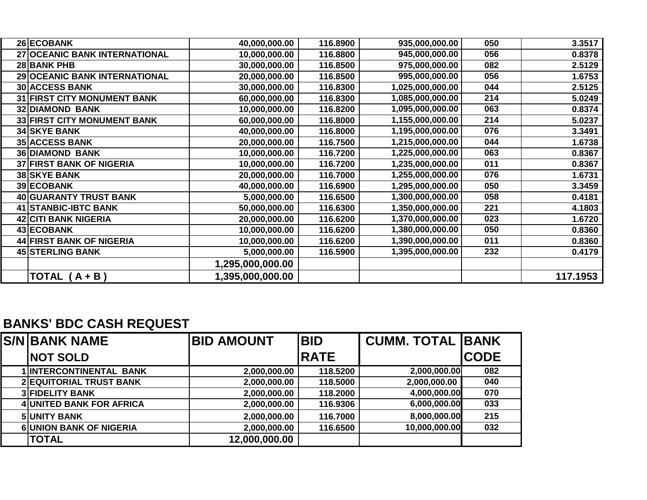| 26 ECOBANK                         | 40,000,000.00    | 116.8900 | 935,000,000.00   | 050 | 3.3517   |
|------------------------------------|------------------|----------|------------------|-----|----------|
| 27 OCEANIC BANK INTERNATIONAL      | 10,000,000.00    | 116.8800 | 945,000,000.00   | 056 | 0.8378   |
| 28 BANK PHB                        | 30,000,000.00    | 116.8500 | 975,000,000.00   | 082 | 2.5129   |
| 29 OCEANIC BANK INTERNATIONAL      | 20,000,000.00    | 116.8500 | 995,000,000.00   | 056 | 1.6753   |
| <b>30 ACCESS BANK</b>              | 30,000,000.00    | 116.8300 | 1,025,000,000.00 | 044 | 2.5125   |
| <b>31 FIRST CITY MONUMENT BANK</b> | 60,000,000.00    | 116.8300 | 1,085,000,000.00 | 214 | 5.0249   |
| <b>32 DIAMOND BANK</b>             | 10,000,000.00    | 116.8200 | 1,095,000,000.00 | 063 | 0.8374   |
| <b>33 FIRST CITY MONUMENT BANK</b> | 60,000,000.00    | 116.8000 | 1,155,000,000.00 | 214 | 5.0237   |
| <b>34 SKYE BANK</b>                | 40,000,000.00    | 116.8000 | 1,195,000,000.00 | 076 | 3.3491   |
| <b>35 ACCESS BANK</b>              | 20,000,000.00    | 116.7500 | 1,215,000,000.00 | 044 | 1.6738   |
| <b>36 DIAMOND BANK</b>             | 10,000,000.00    | 116.7200 | 1,225,000,000.00 | 063 | 0.8367   |
| <b>37 FIRST BANK OF NIGERIA</b>    | 10,000,000.00    | 116.7200 | 1,235,000,000.00 | 011 | 0.8367   |
| <b>38 SKYE BANK</b>                | 20,000,000.00    | 116.7000 | 1,255,000,000.00 | 076 | 1.6731   |
| 39 ECOBANK                         | 40,000,000.00    | 116.6900 | 1,295,000,000.00 | 050 | 3.3459   |
| 40 GUARANTY TRUST BANK             | 5,000,000.00     | 116.6500 | 1,300,000,000.00 | 058 | 0.4181   |
| 41 STANBIC-IBTC BANK               | 50,000,000.00    | 116.6300 | 1,350,000,000.00 | 221 | 4.1803   |
| <b>42 CITI BANK NIGERIA</b>        | 20,000,000.00    | 116.6200 | 1,370,000,000.00 | 023 | 1.6720   |
| 43 ECOBANK                         | 10,000,000.00    | 116.6200 | 1,380,000,000.00 | 050 | 0.8360   |
| 44 FIRST BANK OF NIGERIA           | 10,000,000.00    | 116.6200 | 1,390,000,000.00 | 011 | 0.8360   |
| <b>45 STERLING BANK</b>            | 5,000,000.00     | 116.5900 | 1,395,000,000.00 | 232 | 0.4179   |
|                                    | 1,295,000,000.00 |          |                  |     |          |
| <b>TOTAL</b><br>$(A + B)$          | 1,395,000,000.00 |          |                  |     | 117.1953 |

## **BANKS' BDC CASH REQUEST**

| <b>S/NIBANK NAME</b>            | <b>BID AMOUNT</b> | <b>BID</b>  | <b>CUMM. TOTAL BANK</b> |             |
|---------------------------------|-------------------|-------------|-------------------------|-------------|
| <b>NOT SOLD</b>                 |                   | <b>RATE</b> |                         | <b>CODE</b> |
| 1 INTERCONTINENTAL BANK         | 2,000,000.00      | 118.5200    | 2,000,000.00            | 082         |
| 2 EQUITORIAL TRUST BANK         | 2,000,000.00      | 118.5000    | 2,000,000.00            | 040         |
| <b>3 FIDELITY BANK</b>          | 2,000,000.00      | 118.2000    | 4,000,000.00            | 070         |
| <b>4 UNITED BANK FOR AFRICA</b> | 2,000,000.00      | 116.9306    | 6,000,000.00            | 033         |
| <b>5 UNITY BANK</b>             | 2,000,000.00      | 116.7000    | 8,000,000.00            | 215         |
| <b>6 UNION BANK OF NIGERIA</b>  | 2,000,000.00      | 116.6500    | 10,000,000.00           | 032         |
| <b>TOTAL</b>                    | 12,000,000.00     |             |                         |             |